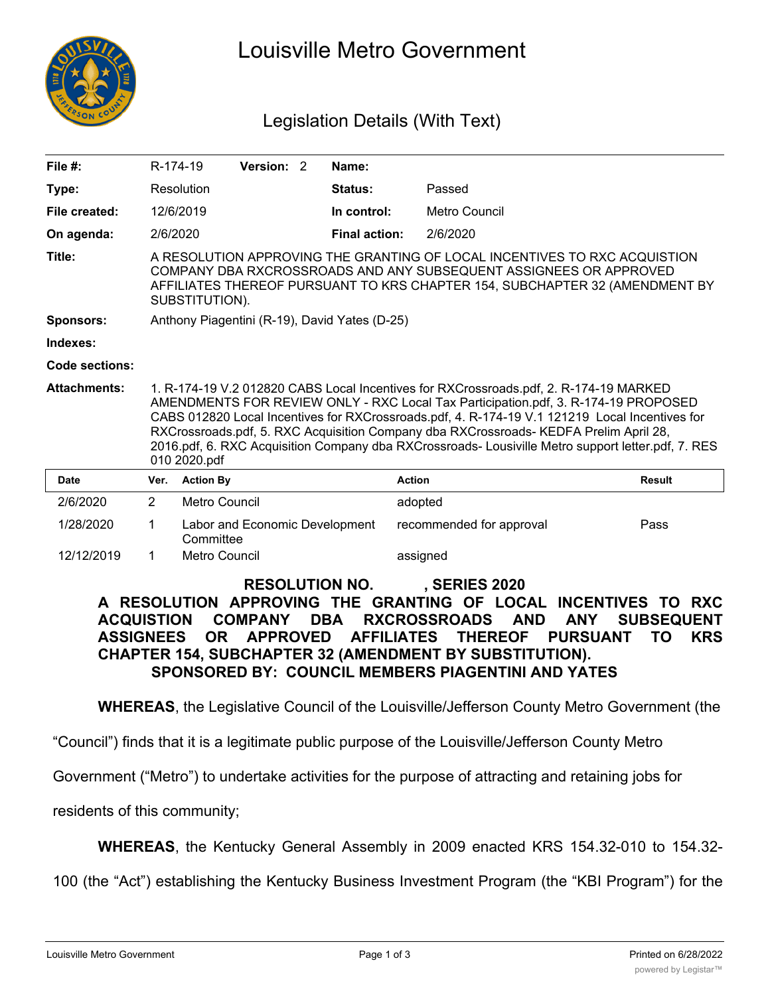

# Louisville Metro Government

## Legislation Details (With Text)

| File #:             | R-174-19                                                                                                                                                                                                                                                                                                                                                                                                                                                                                     |                  | Version: 2                     |  | Name:                |                          |               |
|---------------------|----------------------------------------------------------------------------------------------------------------------------------------------------------------------------------------------------------------------------------------------------------------------------------------------------------------------------------------------------------------------------------------------------------------------------------------------------------------------------------------------|------------------|--------------------------------|--|----------------------|--------------------------|---------------|
| Type:               |                                                                                                                                                                                                                                                                                                                                                                                                                                                                                              | Resolution       |                                |  | <b>Status:</b>       | Passed                   |               |
| File created:       |                                                                                                                                                                                                                                                                                                                                                                                                                                                                                              | 12/6/2019        |                                |  | In control:          | <b>Metro Council</b>     |               |
| On agenda:          | 2/6/2020                                                                                                                                                                                                                                                                                                                                                                                                                                                                                     |                  |                                |  | <b>Final action:</b> | 2/6/2020                 |               |
| Title:              | A RESOLUTION APPROVING THE GRANTING OF LOCAL INCENTIVES TO RXC ACQUISTION<br>COMPANY DBA RXCROSSROADS AND ANY SUBSEQUENT ASSIGNEES OR APPROVED<br>AFFILIATES THEREOF PURSUANT TO KRS CHAPTER 154, SUBCHAPTER 32 (AMENDMENT BY<br>SUBSTITUTION).                                                                                                                                                                                                                                              |                  |                                |  |                      |                          |               |
| <b>Sponsors:</b>    | Anthony Piagentini (R-19), David Yates (D-25)                                                                                                                                                                                                                                                                                                                                                                                                                                                |                  |                                |  |                      |                          |               |
| Indexes:            |                                                                                                                                                                                                                                                                                                                                                                                                                                                                                              |                  |                                |  |                      |                          |               |
| Code sections:      |                                                                                                                                                                                                                                                                                                                                                                                                                                                                                              |                  |                                |  |                      |                          |               |
| <b>Attachments:</b> | 1. R-174-19 V.2 012820 CABS Local Incentives for RXCrossroads.pdf, 2. R-174-19 MARKED<br>AMENDMENTS FOR REVIEW ONLY - RXC Local Tax Participation.pdf, 3. R-174-19 PROPOSED<br>CABS 012820 Local Incentives for RXCrossroads.pdf, 4. R-174-19 V.1 121219 Local Incentives for<br>RXCrossroads.pdf, 5. RXC Acquisition Company dba RXCrossroads- KEDFA Prelim April 28,<br>2016.pdf, 6. RXC Acquisition Company dba RXCrossroads- Lousiville Metro support letter.pdf, 7. RES<br>010 2020.pdf |                  |                                |  |                      |                          |               |
| <b>Date</b>         | Ver.                                                                                                                                                                                                                                                                                                                                                                                                                                                                                         | <b>Action By</b> |                                |  |                      | <b>Action</b>            | <b>Result</b> |
| 2/6/2020            | 2                                                                                                                                                                                                                                                                                                                                                                                                                                                                                            | Metro Council    |                                |  |                      | adopted                  |               |
| 1/28/2020           | 1                                                                                                                                                                                                                                                                                                                                                                                                                                                                                            | Committee        | Labor and Economic Development |  |                      | recommended for approval | Pass          |
| 12/12/2019          | 1                                                                                                                                                                                                                                                                                                                                                                                                                                                                                            | Metro Council    |                                |  |                      | assigned                 |               |

#### **RESOLUTION NO. , SERIES 2020 A RESOLUTION APPROVING THE GRANTING OF LOCAL INCENTIVES TO RXC ACQUISTION COMPANY DBA RXCROSSROADS AND ANY SUBSEQUENT ASSIGNEES OR APPROVED AFFILIATES THEREOF PURSUANT TO KRS CHAPTER 154, SUBCHAPTER 32 (AMENDMENT BY SUBSTITUTION). SPONSORED BY: COUNCIL MEMBERS PIAGENTINI AND YATES**

**WHEREAS**, the Legislative Council of the Louisville/Jefferson County Metro Government (the

"Council") finds that it is a legitimate public purpose of the Louisville/Jefferson County Metro

Government ("Metro") to undertake activities for the purpose of attracting and retaining jobs for

residents of this community;

**WHEREAS**, the Kentucky General Assembly in 2009 enacted KRS 154.32-010 to 154.32-

100 (the "Act") establishing the Kentucky Business Investment Program (the "KBI Program") for the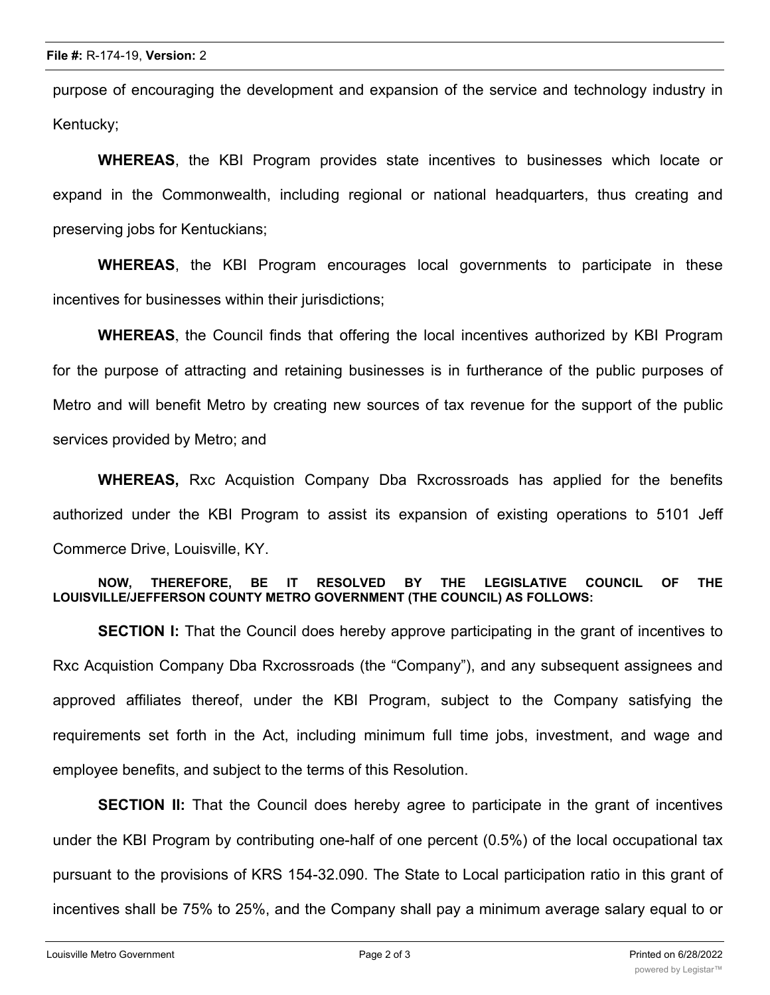purpose of encouraging the development and expansion of the service and technology industry in Kentucky;

**WHEREAS**, the KBI Program provides state incentives to businesses which locate or expand in the Commonwealth, including regional or national headquarters, thus creating and preserving jobs for Kentuckians;

**WHEREAS**, the KBI Program encourages local governments to participate in these incentives for businesses within their jurisdictions;

**WHEREAS**, the Council finds that offering the local incentives authorized by KBI Program for the purpose of attracting and retaining businesses is in furtherance of the public purposes of Metro and will benefit Metro by creating new sources of tax revenue for the support of the public services provided by Metro; and

**WHEREAS,** Rxc Acquistion Company Dba Rxcrossroads has applied for the benefits authorized under the KBI Program to assist its expansion of existing operations to 5101 Jeff Commerce Drive, Louisville, KY.

#### **NOW, THEREFORE, BE IT RESOLVED BY THE LEGISLATIVE COUNCIL OF THE LOUISVILLE/JEFFERSON COUNTY METRO GOVERNMENT (THE COUNCIL) AS FOLLOWS:**

**SECTION I:** That the Council does hereby approve participating in the grant of incentives to Rxc Acquistion Company Dba Rxcrossroads (the "Company"), and any subsequent assignees and approved affiliates thereof, under the KBI Program, subject to the Company satisfying the requirements set forth in the Act, including minimum full time jobs, investment, and wage and employee benefits, and subject to the terms of this Resolution.

**SECTION II:** That the Council does hereby agree to participate in the grant of incentives under the KBI Program by contributing one-half of one percent (0.5%) of the local occupational tax pursuant to the provisions of KRS 154-32.090. The State to Local participation ratio in this grant of incentives shall be 75% to 25%, and the Company shall pay a minimum average salary equal to or